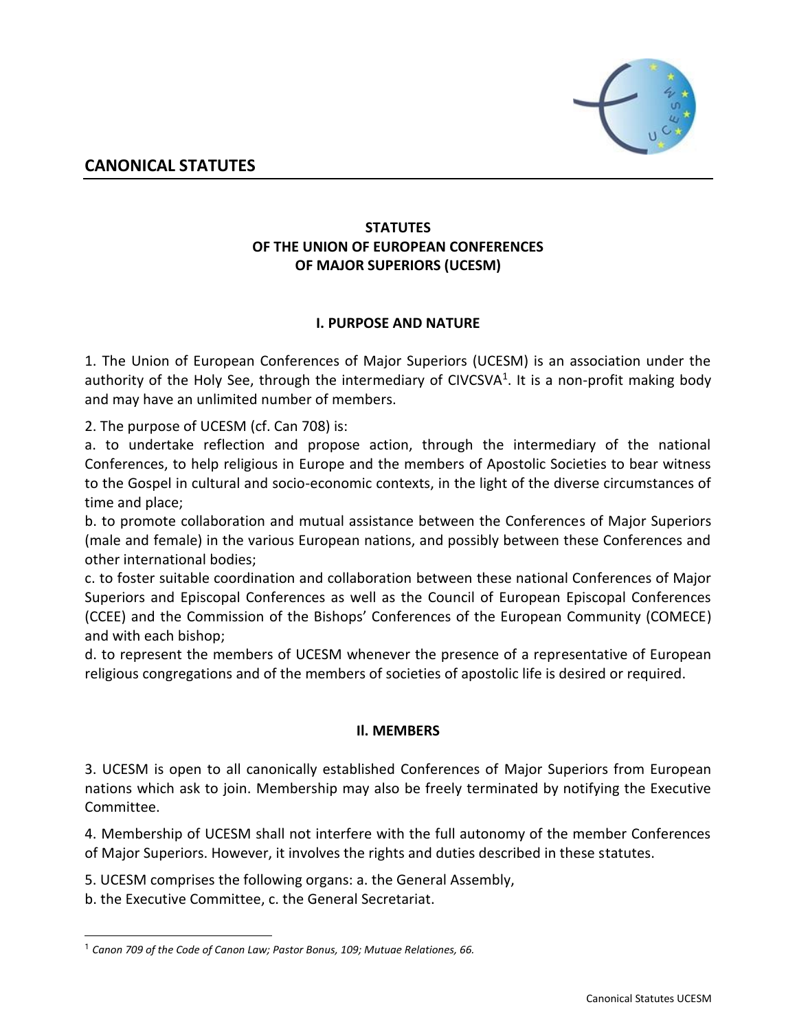

# **STATUTES OF THE UNION OF EUROPEAN CONFERENCES OF MAJOR SUPERIORS (UCESM)**

# **I. PURPOSE AND NATURE**

1. The Union of European Conferences of Major Superiors (UCESM) is an association under the authority of the Holy See, through the intermediary of CIVCSVA<sup>1</sup>. It is a non-profit making body and may have an unlimited number of members.

2. The purpose of UCESM (cf. Can 708) is:

a. to undertake reflection and propose action, through the intermediary of the national Conferences, to help religious in Europe and the members of Apostolic Societies to bear witness to the Gospel in cultural and socio-economic contexts, in the light of the diverse circumstances of time and place;

b. to promote collaboration and mutual assistance between the Conferences of Major Superiors (male and female) in the various European nations, and possibly between these Conferences and other international bodies;

c. to foster suitable coordination and collaboration between these national Conferences of Major Superiors and Episcopal Conferences as well as the Council of European Episcopal Conferences (CCEE) and the Commission of the Bishops' Conferences of the European Community (COMECE) and with each bishop;

d. to represent the members of UCESM whenever the presence of a representative of European religious congregations and of the members of societies of apostolic life is desired or required.

## **Il. MEMBERS**

3. UCESM is open to all canonically established Conferences of Major Superiors from European nations which ask to join. Membership may also be freely terminated by notifying the Executive Committee.

4. Membership of UCESM shall not interfere with the full autonomy of the member Conferences of Major Superiors. However, it involves the rights and duties described in these statutes.

5. UCESM comprises the following organs: a. the General Assembly,

b. the Executive Committee, c. the General Secretariat.

j

*Canon 709 of the Code of Canon Law; Pastor Bonus, 109; Mutuae Relationes, 66.*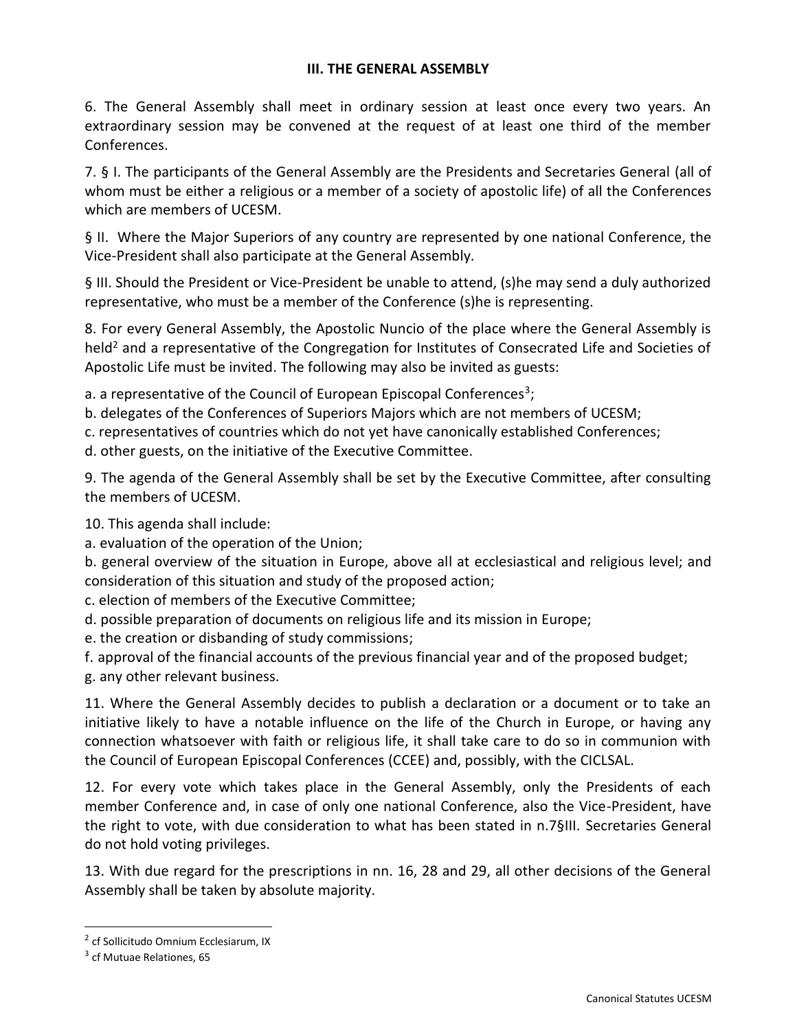### **III. THE GENERAL ASSEMBLY**

6. The General Assembly shall meet in ordinary session at least once every two years. An extraordinary session may be convened at the request of at least one third of the member Conferences.

7. § I. The participants of the General Assembly are the Presidents and Secretaries General (all of whom must be either a religious or a member of a society of apostolic life) of all the Conferences which are members of UCESM.

§ II. Where the Major Superiors of any country are represented by one national Conference, the Vice-President shall also participate at the General Assembly.

§ III. Should the President or Vice-President be unable to attend, (s)he may send a duly authorized representative, who must be a member of the Conference (s)he is representing.

8. For every General Assembly, the Apostolic Nuncio of the place where the General Assembly is held<sup>2</sup> and a representative of the Congregation for Institutes of Consecrated Life and Societies of Apostolic Life must be invited. The following may also be invited as guests:

a. a representative of the Council of European Episcopal Conferences<sup>3</sup>;

- b. delegates of the Conferences of Superiors Majors which are not members of UCESM;
- c. representatives of countries which do not yet have canonically established Conferences;

d. other guests, on the initiative of the Executive Committee.

9. The agenda of the General Assembly shall be set by the Executive Committee, after consulting the members of UCESM.

10. This agenda shall include:

a. evaluation of the operation of the Union;

b. general overview of the situation in Europe, above all at ecclesiastical and religious level; and consideration of this situation and study of the proposed action;

c. election of members of the Executive Committee;

d. possible preparation of documents on religious life and its mission in Europe;

e. the creation or disbanding of study commissions;

f. approval of the financial accounts of the previous financial year and of the proposed budget;

g. any other relevant business.

11. Where the General Assembly decides to publish a declaration or a document or to take an initiative likely to have a notable influence on the life of the Church in Europe, or having any connection whatsoever with faith or religious life, it shall take care to do so in communion with the Council of European Episcopal Conferences (CCEE) and, possibly, with the CICLSAL.

12. For every vote which takes place in the General Assembly, only the Presidents of each member Conference and, in case of only one national Conference, also the Vice-President, have the right to vote, with due consideration to what has been stated in n.7§III. Secretaries General do not hold voting privileges.

13. With due regard for the prescriptions in nn. 16, 28 and 29, all other decisions of the General Assembly shall be taken by absolute majority.

l

<sup>&</sup>lt;sup>2</sup> cf Sollicitudo Omnium Ecclesiarum, IX

<sup>&</sup>lt;sup>3</sup> cf Mutuae Relationes, 65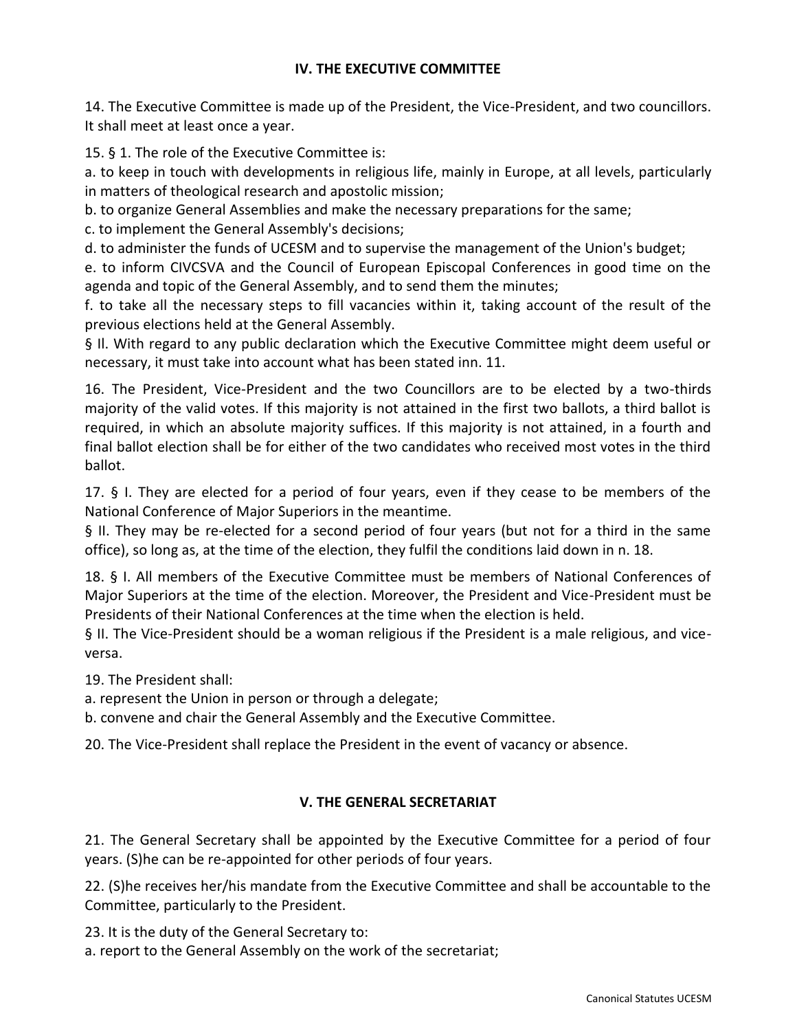## **IV. THE EXECUTIVE COMMITTEE**

14. The Executive Committee is made up of the President, the Vice-President, and two councillors. It shall meet at least once a year.

15. § 1. The role of the Executive Committee is:

a. to keep in touch with developments in religious life, mainly in Europe, at all levels, particularly in matters of theological research and apostolic mission;

b. to organize General Assemblies and make the necessary preparations for the same;

c. to implement the General Assembly's decisions;

d. to administer the funds of UCESM and to supervise the management of the Union's budget;

e. to inform CIVCSVA and the Council of European Episcopal Conferences in good time on the agenda and topic of the General Assembly, and to send them the minutes;

f. to take all the necessary steps to fill vacancies within it, taking account of the result of the previous elections held at the General Assembly.

§ II. With regard to any public declaration which the Executive Committee might deem useful or necessary, it must take into account what has been stated inn. 11.

16. The President, Vice-President and the two Councillors are to be elected by a two-thirds majority of the valid votes. If this majority is not attained in the first two ballots, a third ballot is required, in which an absolute majority suffices. If this majority is not attained, in a fourth and final ballot election shall be for either of the two candidates who received most votes in the third ballot.

17. § I. They are elected for a period of four years, even if they cease to be members of the National Conference of Major Superiors in the meantime.

§ II. They may be re-elected for a second period of four years (but not for a third in the same office), so long as, at the time of the election, they fulfil the conditions laid down in n. 18.

18. § I. All members of the Executive Committee must be members of National Conferences of Major Superiors at the time of the election. Moreover, the President and Vice-President must be Presidents of their National Conferences at the time when the election is held.

§ II. The Vice-President should be a woman religious if the President is a male religious, and viceversa.

19. The President shall:

a. represent the Union in person or through a delegate;

b. convene and chair the General Assembly and the Executive Committee.

20. The Vice-President shall replace the President in the event of vacancy or absence.

## **V. THE GENERAL SECRETARIAT**

21. The General Secretary shall be appointed by the Executive Committee for a period of four years. (S)he can be re-appointed for other periods of four years.

22. (S)he receives her/his mandate from the Executive Committee and shall be accountable to the Committee, particularly to the President.

23. It is the duty of the General Secretary to:

a. report to the General Assembly on the work of the secretariat;